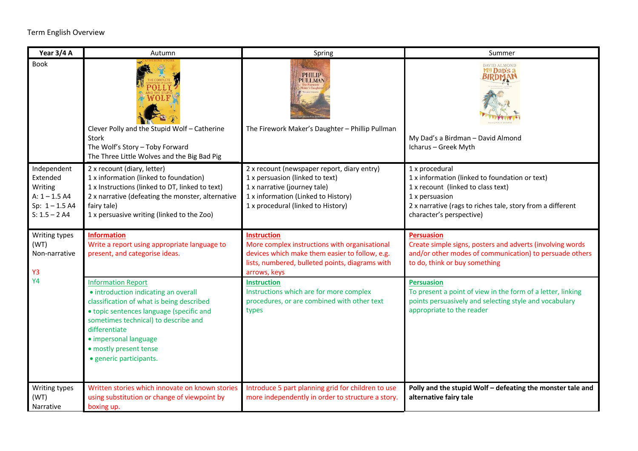## Term English Overview

| Year 3/4 A                                                                                   | Autumn                                                                                                                                                                                                                                                                                            | Spring                                                                                                                                                                                      | Summer                                                                                                                                                                                                             |
|----------------------------------------------------------------------------------------------|---------------------------------------------------------------------------------------------------------------------------------------------------------------------------------------------------------------------------------------------------------------------------------------------------|---------------------------------------------------------------------------------------------------------------------------------------------------------------------------------------------|--------------------------------------------------------------------------------------------------------------------------------------------------------------------------------------------------------------------|
| <b>Book</b>                                                                                  | Clever Polly and the Stupid Wolf - Catherine<br>Stork<br>The Wolf's Story - Toby Forward<br>The Three Little Wolves and the Big Bad Pig                                                                                                                                                           | <b>PHILIP</b><br><b>PULLMAN</b><br>The Firework Maker's Daughter - Phillip Pullman                                                                                                          | <b>DAVID ALMOND</b><br>My Dap's a<br>BIRDMAI<br>My Dad's a Birdman - David Almond<br>Icharus - Greek Myth                                                                                                          |
| Independent<br>Extended<br>Writing<br>$A: 1 - 1.5 A4$<br>Sp: $1 - 1.5$ A4<br>$S: 1.5 - 2 A4$ | 2 x recount (diary, letter)<br>1 x information (linked to foundation)<br>1 x Instructions (linked to DT, linked to text)<br>2 x narrative (defeating the monster, alternative<br>fairy tale)<br>1 x persuasive writing (linked to the Zoo)                                                        | 2 x recount (newspaper report, diary entry)<br>1 x persuasion (linked to text)<br>1 x narrative (journey tale)<br>1 x information (Linked to History)<br>1 x procedural (linked to History) | 1 x procedural<br>1 x information (linked to foundation or text)<br>1 x recount (linked to class text)<br>1 x persuasion<br>2 x narrative (rags to riches tale, story from a different<br>character's perspective) |
| Writing types<br>(WT)<br>Non-narrative<br><b>Y3</b>                                          | <b>Information</b><br>Write a report using appropriate language to<br>present, and categorise ideas.                                                                                                                                                                                              | <b>Instruction</b><br>More complex instructions with organisational<br>devices which make them easier to follow, e.g.<br>lists, numbered, bulleted points, diagrams with<br>arrows, keys    | <b>Persuasion</b><br>Create simple signs, posters and adverts (involving words<br>and/or other modes of communication) to persuade others<br>to do, think or buy something                                         |
| <b>Y4</b>                                                                                    | <b>Information Report</b><br>• introduction indicating an overall<br>classification of what is being described<br>• topic sentences language (specific and<br>sometimes technical) to describe and<br>differentiate<br>· impersonal language<br>· mostly present tense<br>· generic participants. | <b>Instruction</b><br>Instructions which are for more complex<br>procedures, or are combined with other text<br>types                                                                       | <b>Persuasion</b><br>To present a point of view in the form of a letter, linking<br>points persuasively and selecting style and vocabulary<br>appropriate to the reader                                            |
| Writing types<br>(WT)<br>Narrative                                                           | Written stories which innovate on known stories<br>using substitution or change of viewpoint by<br>boxing up.                                                                                                                                                                                     | Introduce 5 part planning grid for children to use<br>more independently in order to structure a story.                                                                                     | Polly and the stupid Wolf - defeating the monster tale and<br>alternative fairy tale                                                                                                                               |